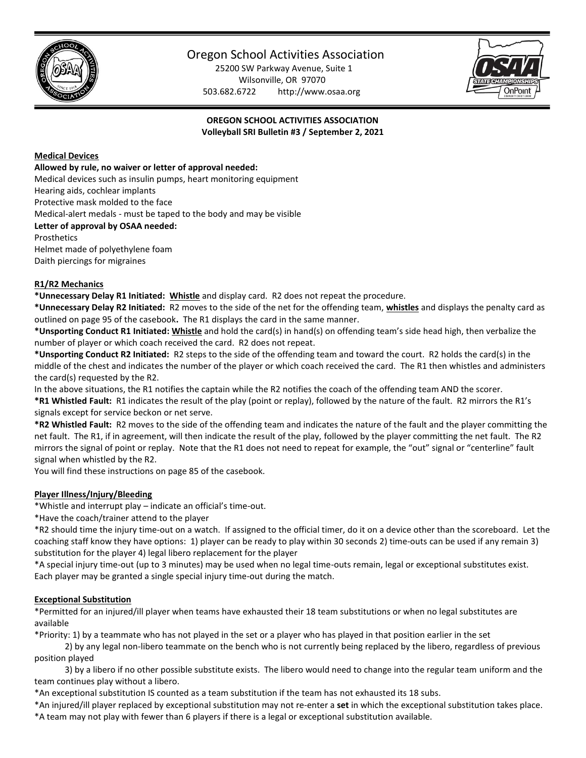

# Oregon School Activities Association

25200 SW Parkway Avenue, Suite 1 Wilsonville, OR 97070 503.682.6722 http://www.osaa.org



**OREGON SCHOOL ACTIVITIES ASSOCIATION Volleyball SRI Bulletin #3 / September 2, 2021**

### **Medical Devices**

#### **Allowed by rule, no waiver or letter of approval needed:**

Medical devices such as insulin pumps, heart monitoring equipment

Hearing aids, cochlear implants

Protective mask molded to the face

Medical-alert medals - must be taped to the body and may be visible

**Letter of approval by OSAA needed:**

Prosthetics

Helmet made of polyethylene foam Daith piercings for migraines

#### **R1/R2 Mechanics**

**\*Unnecessary Delay R1 Initiated: Whistle** and display card. R2 does not repeat the procedure.

**\*Unnecessary Delay R2 Initiated:** R2 moves to the side of the net for the offending team, **whistles** and displays the penalty card as outlined on page 95 of the casebook**.** The R1 displays the card in the same manner.

**\*Unsporting Conduct R1 Initiated: Whistle** and hold the card(s) in hand(s) on offending team's side head high, then verbalize the number of player or which coach received the card. R2 does not repeat.

**\*Unsporting Conduct R2 Initiated:** R2 steps to the side of the offending team and toward the court. R2 holds the card(s) in the middle of the chest and indicates the number of the player or which coach received the card. The R1 then whistles and administers the card(s) requested by the R2.

In the above situations, the R1 notifies the captain while the R2 notifies the coach of the offending team AND the scorer. **\*R1 Whistled Fault:** R1 indicates the result of the play (point or replay), followed by the nature of the fault. R2 mirrors the R1's signals except for service beckon or net serve.

**\*R2 Whistled Fault:** R2 moves to the side of the offending team and indicates the nature of the fault and the player committing the net fault. The R1, if in agreement, will then indicate the result of the play, followed by the player committing the net fault. The R2 mirrors the signal of point or replay. Note that the R1 does not need to repeat for example, the "out" signal or "centerline" fault signal when whistled by the R2.

You will find these instructions on page 85 of the casebook.

#### **Player Illness/Injury/Bleeding**

\*Whistle and interrupt play – indicate an official's time-out.

\*Have the coach/trainer attend to the player

\*R2 should time the injury time-out on a watch. If assigned to the official timer, do it on a device other than the scoreboard. Let the coaching staff know they have options: 1) player can be ready to play within 30 seconds 2) time-outs can be used if any remain 3) substitution for the player 4) legal libero replacement for the player

\*A special injury time-out (up to 3 minutes) may be used when no legal time-outs remain, legal or exceptional substitutes exist. Each player may be granted a single special injury time-out during the match.

## **Exceptional Substitution**

\*Permitted for an injured/ill player when teams have exhausted their 18 team substitutions or when no legal substitutes are available

\*Priority: 1) by a teammate who has not played in the set or a player who has played in that position earlier in the set

 2) by any legal non-libero teammate on the bench who is not currently being replaced by the libero, regardless of previous position played

 3) by a libero if no other possible substitute exists. The libero would need to change into the regular team uniform and the team continues play without a libero.

\*An exceptional substitution IS counted as a team substitution if the team has not exhausted its 18 subs.

\*An injured/ill player replaced by exceptional substitution may not re-enter a **set** in which the exceptional substitution takes place. \*A team may not play with fewer than 6 players if there is a legal or exceptional substitution available.